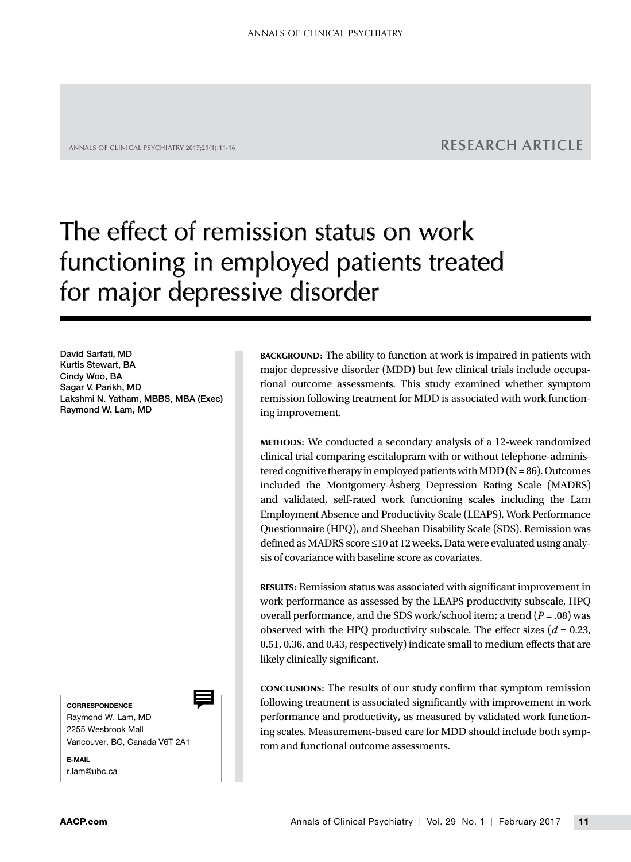# ANNALS OF CLINICAL PSYCHIATRY 2017;29(1):11-16 **RESEARCH ARTICLE**

# The effect of remission status on work functioning in employed patients treated for major depressive disorder

David Sarfati, MD Kurtis Stewart, BA Cindy Woo, BA Sagar V. Parikh, MD Lakshmi N. Yatham, MBBS, MBA (Exec) Raymond W. Lam, MD

**CORRESPONDENCE** 

ᆖ

Raymond W. Lam, MD 2255 Wesbrook Mall Vancouver, BC, Canada V6T 2A1

E-MAIL r.lam@ubc.ca BACKGROUND: The ability to function at work is impaired in patients with major depressive disorder (MDD) but few clinical trials include occupational outcome assessments. This study examined whether symptom remission following treatment for MDD is associated with work functioning improvement.

METHODS: We conducted a secondary analysis of a 12-week randomized clinical trial comparing escitalopram with or without telephone-administered cognitive therapy in employed patients with MDD  $(N = 86)$ . Outcomes included the Montgomery-Åsberg Depression Rating Scale (MADRS) and validated, self-rated work functioning scales including the Lam Employment Absence and Productivity Scale (LEAPS), Work Performance Questionnaire (HPQ), and Sheehan Disability Scale (SDS). Remission was defined as MADRS score ≤10 at 12 weeks. Data were evaluated using analysis of covariance with baseline score as covariates.

RESULTS: Remission status was associated with significant improvement in work performance as assessed by the LEAPS productivity subscale, HPQ overall performance, and the SDS work/school item; a trend (*P* = .08) was observed with the HPQ productivity subscale. The effect sizes  $(d = 0.23,$ 0.51, 0.36, and 0.43, respectively) indicate small to medium effects that are likely clinically significant.

CONCLUSIONS: The results of our study confirm that symptom remission following treatment is associated significantly with improvement in work performance and productivity, as measured by validated work functioning scales. Measurement-based care for MDD should include both symptom and functional outcome assessments.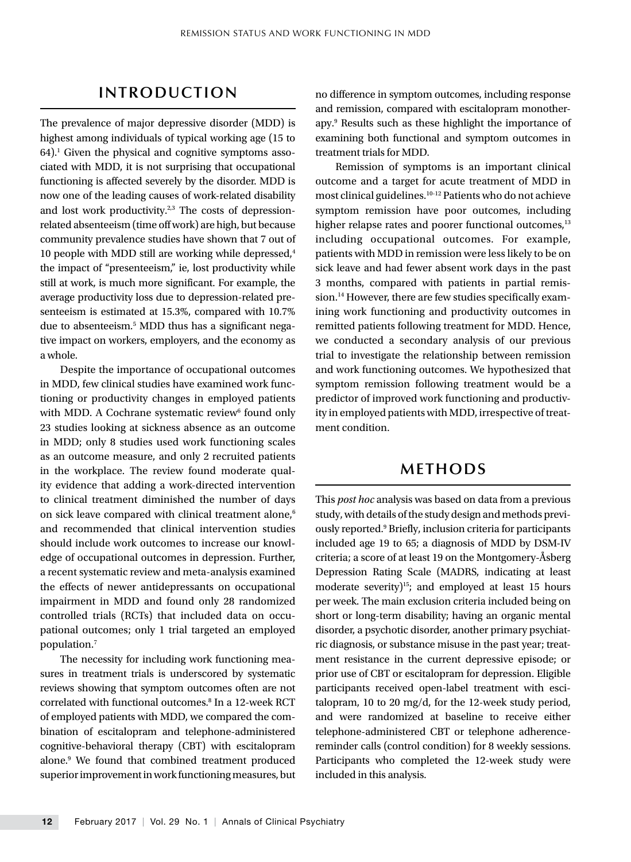# **INTRODUCTION**

The prevalence of major depressive disorder (MDD) is highest among individuals of typical working age (15 to 64).1 Given the physical and cognitive symptoms associated with MDD, it is not surprising that occupational functioning is affected severely by the disorder. MDD is now one of the leading causes of work-related disability and lost work productivity. $2,3$  The costs of depressionrelated absenteeism (time off work) are high, but because community prevalence studies have shown that 7 out of 10 people with MDD still are working while depressed,<sup>4</sup> the impact of "presenteeism," ie, lost productivity while still at work, is much more significant. For example, the average productivity loss due to depression-related presenteeism is estimated at 15.3%, compared with 10.7% due to absenteeism.5 MDD thus has a significant negative impact on workers, employers, and the economy as a whole.

Despite the importance of occupational outcomes in MDD, few clinical studies have examined work functioning or productivity changes in employed patients with MDD. A Cochrane systematic review<sup>6</sup> found only 23 studies looking at sickness absence as an outcome in MDD; only 8 studies used work functioning scales as an outcome measure, and only 2 recruited patients in the workplace. The review found moderate quality evidence that adding a work-directed intervention to clinical treatment diminished the number of days on sick leave compared with clinical treatment alone.<sup>6</sup> and recommended that clinical intervention studies should include work outcomes to increase our knowledge of occupational outcomes in depression. Further, a recent systematic review and meta-analysis examined the effects of newer antidepressants on occupational impairment in MDD and found only 28 randomized controlled trials (RCTs) that included data on occupational outcomes; only 1 trial targeted an employed population.7

The necessity for including work functioning measures in treatment trials is underscored by systematic reviews showing that symptom outcomes often are not correlated with functional outcomes.<sup>8</sup> In a 12-week RCT of employed patients with MDD, we compared the combination of escitalopram and telephone-administered cognitive-behavioral therapy (CBT) with escitalopram alone.9 We found that combined treatment produced superior improvement in work functioning measures, but

no difference in symptom outcomes, including response and remission, compared with escitalopram monotherapy.9 Results such as these highlight the importance of examining both functional and symptom outcomes in treatment trials for MDD.

Remission of symptoms is an important clinical outcome and a target for acute treatment of MDD in most clinical guidelines.10-12 Patients who do not achieve symptom remission have poor outcomes, including higher relapse rates and poorer functional outcomes,<sup>13</sup> including occupational outcomes. For example, patients with MDD in remission were less likely to be on sick leave and had fewer absent work days in the past 3 months, compared with patients in partial remission.<sup>14</sup> However, there are few studies specifically examining work functioning and productivity outcomes in remitted patients following treatment for MDD. Hence, we conducted a secondary analysis of our previous trial to investigate the relationship between remission and work functioning outcomes. We hypothesized that symptom remission following treatment would be a predictor of improved work functioning and productivity in employed patients with MDD, irrespective of treatment condition.

# **METHODS**

This *post hoc* analysis was based on data from a previous study, with details of the study design and methods previously reported.<sup>9</sup> Briefly, inclusion criteria for participants included age 19 to 65; a diagnosis of MDD by DSM-IV criteria; a score of at least 19 on the Montgomery-Åsberg Depression Rating Scale (MADRS, indicating at least moderate severity)<sup>15</sup>; and employed at least 15 hours per week. The main exclusion criteria included being on short or long-term disability; having an organic mental disorder, a psychotic disorder, another primary psychiatric diagnosis, or substance misuse in the past year; treatment resistance in the current depressive episode; or prior use of CBT or escitalopram for depression. Eligible participants received open-label treatment with escitalopram, 10 to 20 mg/d, for the 12-week study period, and were randomized at baseline to receive either telephone-administered CBT or telephone adherencereminder calls (control condition) for 8 weekly sessions. Participants who completed the 12-week study were included in this analysis.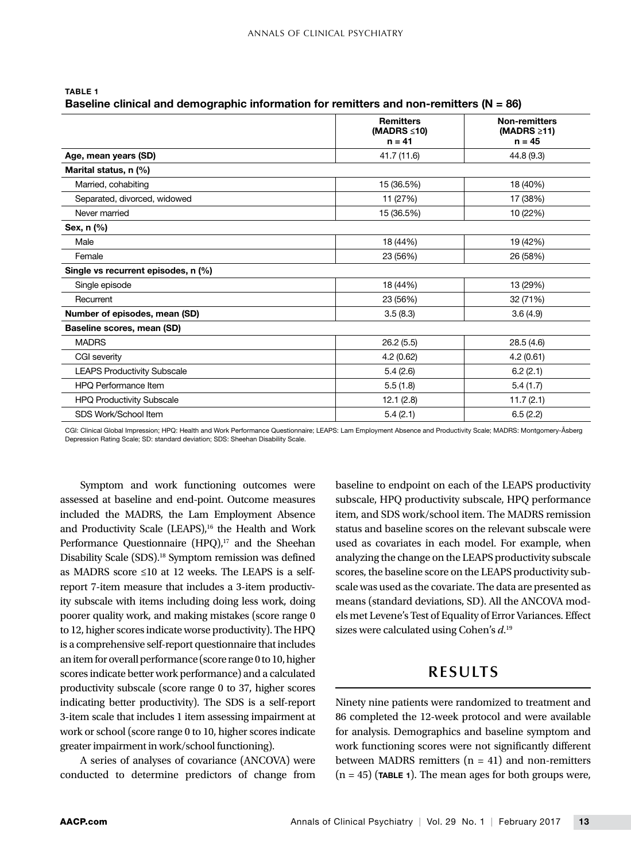|                                     | <b>Remitters</b><br>(MADRS $\leq 10$ )<br>$n = 41$ | <b>Non-remitters</b><br>(MADRS $\geq$ 11)<br>$n = 45$<br>44.8 (9.3) |  |
|-------------------------------------|----------------------------------------------------|---------------------------------------------------------------------|--|
| Age, mean years (SD)                | 41.7 (11.6)                                        |                                                                     |  |
| Marital status, n (%)               |                                                    |                                                                     |  |
| Married, cohabiting                 | 15 (36.5%)                                         | 18 (40%)                                                            |  |
| Separated, divorced, widowed        | 11 (27%)                                           | 17 (38%)                                                            |  |
| Never married                       | 15 (36.5%)                                         | 10 (22%)                                                            |  |
| Sex, n (%)                          |                                                    |                                                                     |  |
| Male                                | 18 (44%)                                           | 19 (42%)                                                            |  |
| Female                              | 23 (56%)                                           | 26 (58%)                                                            |  |
| Single vs recurrent episodes, n (%) |                                                    |                                                                     |  |
| Single episode                      | 18 (44%)                                           | 13 (29%)                                                            |  |
| Recurrent                           | 23 (56%)                                           | 32 (71%)                                                            |  |
| Number of episodes, mean (SD)       | 3.5(8.3)                                           | 3.6(4.9)                                                            |  |
| Baseline scores, mean (SD)          |                                                    |                                                                     |  |
| <b>MADRS</b>                        | 26.2(5.5)                                          | 28.5(4.6)                                                           |  |
| CGI severity                        | 4.2(0.62)                                          | 4.2(0.61)                                                           |  |
| <b>LEAPS Productivity Subscale</b>  | 5.4(2.6)                                           | 6.2(2.1)                                                            |  |
| HPO Performance Item                | 5.5(1.8)                                           | 5.4(1.7)                                                            |  |
| <b>HPQ Productivity Subscale</b>    | 12.1(2.8)                                          | 11.7(2.1)                                                           |  |
| SDS Work/School Item                | 5.4(2.1)                                           | 6.5(2.2)                                                            |  |

| <b>TABLE 1</b>                                                                             |  |
|--------------------------------------------------------------------------------------------|--|
| Baseline clinical and demographic information for remitters and non-remitters ( $N = 86$ ) |  |

CGI: Clinical Global Impression; HPQ: Health and Work Performance Questionnaire; LEAPS: Lam Employment Absence and Productivity Scale; MADRS: Montgomery-Åsberg Depression Rating Scale; SD: standard deviation; SDS: Sheehan Disability Scale.

Symptom and work functioning outcomes were assessed at baseline and end-point. Outcome measures included the MADRS, the Lam Employment Absence and Productivity Scale (LEAPS),<sup>16</sup> the Health and Work Performance Questionnaire (HPQ), $17$  and the Sheehan Disability Scale (SDS).18 Symptom remission was defined as MADRS score ≤10 at 12 weeks. The LEAPS is a selfreport 7-item measure that includes a 3-item productivity subscale with items including doing less work, doing poorer quality work, and making mistakes (score range 0 to 12, higher scores indicate worse productivity). The HPQ is a comprehensive self-report questionnaire that includes an item for overall performance (score range 0 to 10, higher scores indicate better work performance) and a calculated productivity subscale (score range 0 to 37, higher scores indicating better productivity). The SDS is a self-report 3-item scale that includes 1 item assessing impairment at work or school (score range 0 to 10, higher scores indicate greater impairment in work/school functioning).

A series of analyses of covariance (ANCOVA) were conducted to determine predictors of change from baseline to endpoint on each of the LEAPS productivity subscale, HPQ productivity subscale, HPQ performance item, and SDS work/school item. The MADRS remission status and baseline scores on the relevant subscale were used as covariates in each model. For example, when analyzing the change on the LEAPS productivity subscale scores, the baseline score on the LEAPS productivity subscale was used as the covariate. The data are presented as means (standard deviations, SD). All the ANCOVA models met Levene's Test of Equality of Error Variances. Effect sizes were calculated using Cohen's *d*. 19

# **RESULTS**

Ninety nine patients were randomized to treatment and 86 completed the 12-week protocol and were available for analysis. Demographics and baseline symptom and work functioning scores were not significantly different between MADRS remitters (n *=* 41) and non-remitters  $(n = 45)$  (TABLE 1). The mean ages for both groups were,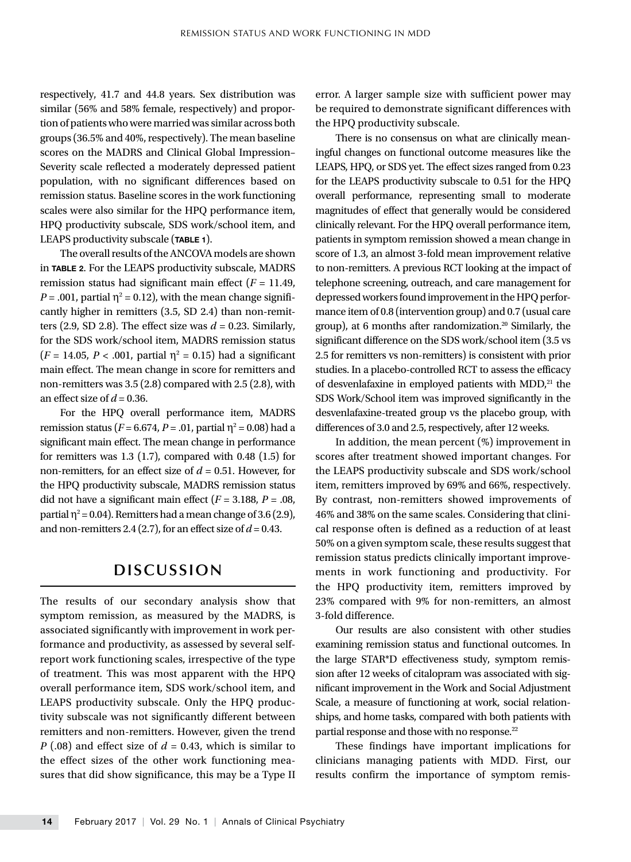respectively, 41.7 and 44.8 years. Sex distribution was similar (56% and 58% female, respectively) and proportion of patients who were married was similar across both groups (36.5% and 40%, respectively). The mean baseline scores on the MADRS and Clinical Global Impression– Severity scale reflected a moderately depressed patient population, with no significant differences based on remission status. Baseline scores in the work functioning scales were also similar for the HPQ performance item, HPQ productivity subscale, SDS work/school item, and LEAPS productivity subscale (TABLE 1).

The overall results of the ANCOVA models are shown in TABLE 2. For the LEAPS productivity subscale, MADRS remission status had significant main effect  $(F = 11.49)$ ,  $P = .001$ , partial  $\eta^2 = 0.12$ ), with the mean change significantly higher in remitters (3.5, SD 2.4) than non-remitters  $(2.9, SD 2.8)$ . The effect size was  $d = 0.23$ . Similarly, for the SDS work/school item, MADRS remission status  $(F = 14.05, P < .001,$  partial  $\eta^2 = 0.15$ ) had a significant main effect. The mean change in score for remitters and non-remitters was 3.5 (2.8) compared with 2.5 (2.8), with an effect size of  $d = 0.36$ .

For the HPQ overall performance item, MADRS remission status ( $F = 6.674$ ,  $P = .01$ , partial η<sup>2</sup> = 0.08) had a significant main effect. The mean change in performance for remitters was  $1.3$  (1.7), compared with 0.48 (1.5) for non-remitters, for an effect size of *d* = 0.51. However, for the HPQ productivity subscale, MADRS remission status did not have a significant main effect  $(F = 3.188, P = .08,$ partial  $\eta^2$  = 0.04). Remitters had a mean change of 3.6 (2.9), and non-remitters 2.4 (2.7), for an effect size of  $d = 0.43$ .

# **DISCUSSION**

The results of our secondary analysis show that symptom remission, as measured by the MADRS, is associated significantly with improvement in work performance and productivity, as assessed by several selfreport work functioning scales, irrespective of the type of treatment. This was most apparent with the HPQ overall performance item, SDS work/school item, and LEAPS productivity subscale. Only the HPQ productivity subscale was not significantly different between remitters and non-remitters. However, given the trend *P* (.08) and effect size of *d =* 0.43, which is similar to the effect sizes of the other work functioning measures that did show significance, this may be a Type II error. A larger sample size with sufficient power may be required to demonstrate significant differences with the HPQ productivity subscale.

There is no consensus on what are clinically meaningful changes on functional outcome measures like the LEAPS, HPQ, or SDS yet. The effect sizes ranged from 0.23 for the LEAPS productivity subscale to 0.51 for the HPQ overall performance, representing small to moderate magnitudes of effect that generally would be considered clinically relevant. For the HPQ overall performance item, patients in symptom remission showed a mean change in score of 1.3, an almost 3-fold mean improvement relative to non-remitters. A previous RCT looking at the impact of telephone screening, outreach, and care management for depressed workers found improvement in the HPQ performance item of 0.8 (intervention group) and 0.7 (usual care group), at 6 months after randomization.<sup>20</sup> Similarly, the significant difference on the SDS work/school item (3.5 vs 2.5 for remitters vs non-remitters) is consistent with prior studies. In a placebo-controlled RCT to assess the efficacy of desvenlafaxine in employed patients with  $MDD<sup>21</sup>$  the SDS Work/School item was improved significantly in the desvenlafaxine-treated group vs the placebo group, with differences of 3.0 and 2.5, respectively, after 12 weeks.

In addition, the mean percent (%) improvement in scores after treatment showed important changes. For the LEAPS productivity subscale and SDS work/school item, remitters improved by 69% and 66%, respectively. By contrast, non-remitters showed improvements of 46% and 38% on the same scales. Considering that clinical response often is defined as a reduction of at least 50% on a given symptom scale, these results suggest that remission status predicts clinically important improvements in work functioning and productivity. For the HPQ productivity item, remitters improved by 23% compared with 9% for non-remitters, an almost 3-fold difference.

Our results are also consistent with other studies examining remission status and functional outcomes. In the large STAR\*D effectiveness study, symptom remission after 12 weeks of citalopram was associated with significant improvement in the Work and Social Adjustment Scale, a measure of functioning at work, social relationships, and home tasks, compared with both patients with partial response and those with no response.<sup>22</sup>

These findings have important implications for clinicians managing patients with MDD. First, our results confirm the importance of symptom remis-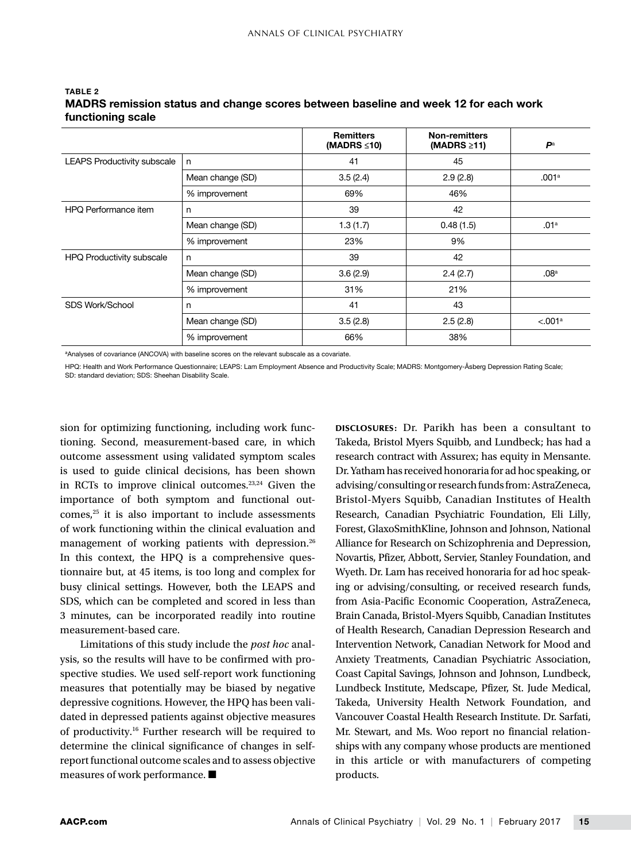|                                    |                  | <b>Remitters</b><br>(MADRS $\leq 10$ ) | <b>Non-remitters</b><br>(MADRS $\geq$ 11) | $\mathbf{P}^{\mathrm{a}}$ |
|------------------------------------|------------------|----------------------------------------|-------------------------------------------|---------------------------|
| <b>LEAPS Productivity subscale</b> | n                | 41                                     | 45                                        |                           |
|                                    | Mean change (SD) | 3.5(2.4)                               | 2.9(2.8)                                  | .001 <sup>a</sup>         |
|                                    | % improvement    | 69%                                    | 46%                                       |                           |
| HPQ Performance item               | n                | 39                                     | 42                                        |                           |
|                                    | Mean change (SD) | 1.3(1.7)                               | 0.48(1.5)                                 | .01a                      |
|                                    | % improvement    | 23%                                    | 9%                                        |                           |
| <b>HPQ Productivity subscale</b>   | n                | 39                                     | 42                                        |                           |
|                                    | Mean change (SD) | 3.6(2.9)                               | 2.4(2.7)                                  | .08 <sup>a</sup>          |
|                                    | % improvement    | 31%                                    | 21%                                       |                           |
| SDS Work/School                    | n                | 41                                     | 43                                        |                           |
|                                    | Mean change (SD) | 3.5(2.8)                               | 2.5(2.8)                                  | < 0.01a                   |
|                                    | % improvement    | 66%                                    | 38%                                       |                           |

## TABLE 2 MADRS remission status and change scores between baseline and week 12 for each work functioning scale

<sup>a</sup>Analyses of covariance (ANCOVA) with baseline scores on the relevant subscale as a covariate.

HPQ: Health and Work Performance Questionnaire; LEAPS: Lam Employment Absence and Productivity Scale; MADRS: Montgomery-Åsberg Depression Rating Scale; SD: standard deviation; SDS: Sheehan Disability Scale.

sion for optimizing functioning, including work functioning. Second, measurement-based care, in which outcome assessment using validated symptom scales is used to guide clinical decisions, has been shown in RCTs to improve clinical outcomes. $23,24$  Given the importance of both symptom and functional out $comes<sub>1</sub><sup>25</sup>$  it is also important to include assessments of work functioning within the clinical evaluation and management of working patients with depression.26 In this context, the HPQ is a comprehensive questionnaire but, at 45 items, is too long and complex for busy clinical settings. However, both the LEAPS and SDS, which can be completed and scored in less than 3 minutes, can be incorporated readily into routine measurement-based care.

Limitations of this study include the *post hoc* analysis, so the results will have to be confirmed with prospective studies. We used self-report work functioning measures that potentially may be biased by negative depressive cognitions. However, the HPQ has been validated in depressed patients against objective measures of productivity.16 Further research will be required to determine the clinical significance of changes in selfreport functional outcome scales and to assess objective measures of work performance. ■

DISCLOSURES: Dr. Parikh has been a consultant to Takeda, Bristol Myers Squibb, and Lundbeck; has had a research contract with Assurex; has equity in Mensante. Dr. Yatham has received honoraria for ad hoc speaking, or advising/consulting or research funds from: AstraZeneca, Bristol-Myers Squibb, Canadian Institutes of Health Research, Canadian Psychiatric Foundation, Eli Lilly, Forest, GlaxoSmithKline, Johnson and Johnson, National Alliance for Research on Schizophrenia and Depression, Novartis, Pfizer, Abbott, Servier, Stanley Foundation, and Wyeth. Dr. Lam has received honoraria for ad hoc speaking or advising/consulting, or received research funds, from Asia-Pacific Economic Cooperation, AstraZeneca, Brain Canada, Bristol-Myers Squibb, Canadian Institutes of Health Research, Canadian Depression Research and Intervention Network, Canadian Network for Mood and Anxiety Treatments, Canadian Psychiatric Association, Coast Capital Savings, Johnson and Johnson, Lundbeck, Lundbeck Institute, Medscape, Pfizer, St. Jude Medical, Takeda, University Health Network Foundation, and Vancouver Coastal Health Research Institute. Dr. Sarfati, Mr. Stewart, and Ms. Woo report no financial relationships with any company whose products are mentioned in this article or with manufacturers of competing products.